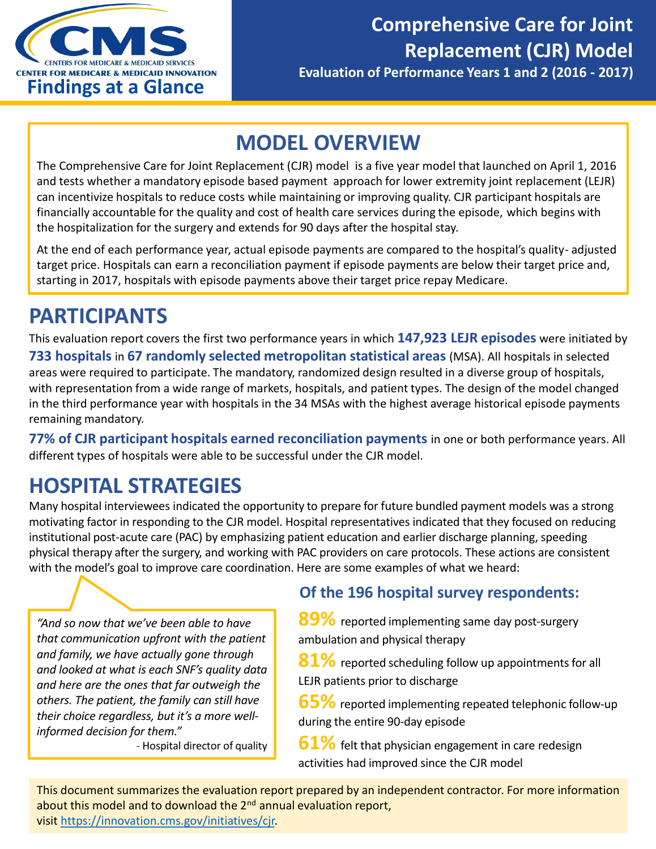

## **MODEL OVERVIEW**

The Comprehensive Care for Joint Replacement (CJR) model is a five year model that launched on April 1, 2016 and tests whether a mandatory episode based payment approach for lower extremity joint replacement (LEJR) can incentivize hospitals to reduce costs while maintaining or improving quality. CJR participant hospitals are financially accountable for the quality and cost of health care services during the episode, which begins with the hospitalization for the surgery and extends for 90 days after the hospital stay.

At the end of each performance year, actual episode payments are compared to the hospital's quality- adjusted target price. Hospitals can earn a reconciliation payment if episode payments are below their target price and, starting in 2017, hospitals with episode payments above their target price repay Medicare.

## **PARTICIPANTS**

This evaluation report covers the first two performance years in which **147,923 LEJR episodes** were initiated by **733 hospitals** in **67 randomly selected metropolitan statistical areas** (MSA). All hospitals in selected areas were required to participate. The mandatory, randomized design resulted in a diverse group of hospitals, with representation from a wide range of markets, hospitals, and patient types. The design of the model changed in the third performance year with hospitals in the 34 MSAs with the highest average historical episode payments remaining mandatory.

**77% of CJR participant hospitals earned reconciliation payments** in one or both performance years. All different types of hospitals were able to be successful under the CJR model.

# **HOSPITAL STRATEGIES**

Many hospital interviewees indicated the opportunity to prepare for future bundled payment models was a strong motivating factor in responding to the CJR model. Hospital representatives indicated that they focused on reducing institutional post-acute care (PAC) by emphasizing patient education and earlier discharge planning, speeding physical therapy after the surgery, and working with PAC providers on care protocols. These actions are consistent with the model's goal to improve care coordination. Here are some examples of what we heard:

*"And so now that we've been able to have that communication upfront with the patient and family, we have actually gone through and looked at what is each SNF's quality data and here are the ones that far outweigh the others. The patient, the family can still have their choice regardless, but it's a more wellinformed decision for them."*

- Hospital director of quality

### **Of the 196 hospital survey respondents:**

**89%** reported implementing same day post-surgery ambulation and physical therapy

**81%** reported scheduling follow up appointments for all LEJR patients prior to discharge

**65%** reported implementing repeated telephonic follow-up during the entire 90-day episode

**61%** felt that physician engagement in care redesign activities had improved since the CJR model

This document summarizes the evaluation report prepared by an independent contractor. For more information about this model and to download the 2<sup>nd</sup> annual evaluation report, visit [https://innovation.cms.gov/initiatives/cjr.](https://innovation.cms.gov/initiatives/cjr)